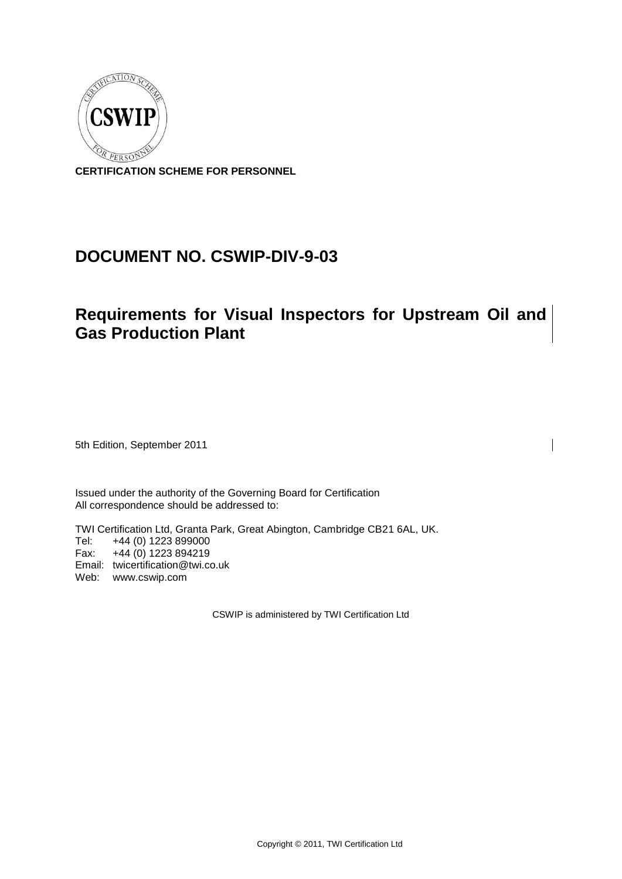

**CERTIFICATION SCHEME FOR PERSONNEL**

# **DOCUMENT NO. CSWIP-DIV-9-03**

# **Requirements for Visual Inspectors for Upstream Oil and Gas Production Plant**

5th Edition, September 2011

Issued under the authority of the Governing Board for Certification All correspondence should be addressed to:

TWI Certification Ltd, Granta Park, Great Abington, Cambridge CB21 6AL, UK. Tel: +44 (0) 1223 899000 Fax: +44 (0) 1223 894219 Email: [twicertification@twi.co.uk](mailto:twicertification@twi.co.uk) Web: www.cswip.com

CSWIP is administered by TWI Certification Ltd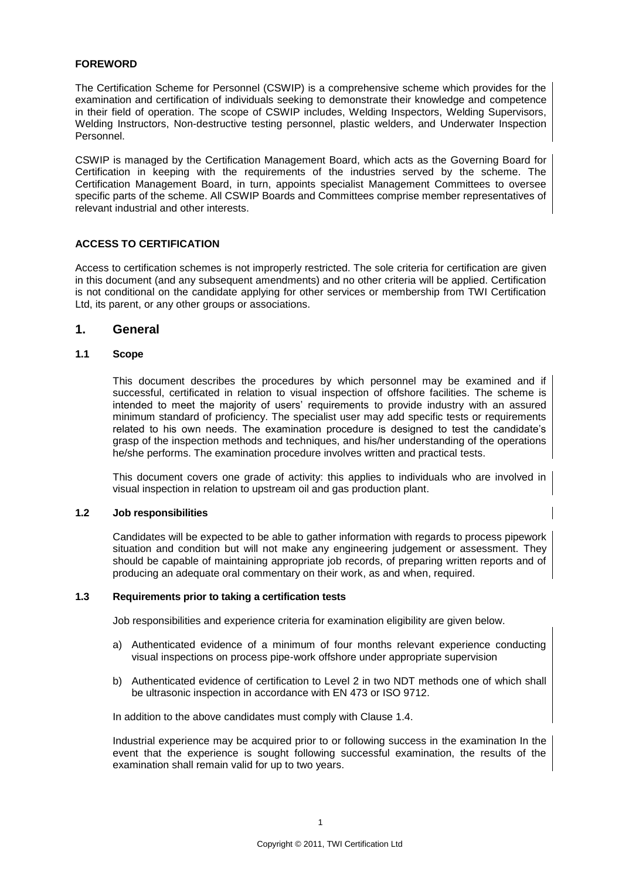#### **FOREWORD**

The Certification Scheme for Personnel (CSWIP) is a comprehensive scheme which provides for the examination and certification of individuals seeking to demonstrate their knowledge and competence in their field of operation. The scope of CSWIP includes, Welding Inspectors, Welding Supervisors, Welding Instructors, Non-destructive testing personnel, plastic welders, and Underwater Inspection Personnel.

CSWIP is managed by the Certification Management Board, which acts as the Governing Board for Certification in keeping with the requirements of the industries served by the scheme. The Certification Management Board, in turn, appoints specialist Management Committees to oversee specific parts of the scheme. All CSWIP Boards and Committees comprise member representatives of relevant industrial and other interests.

#### **ACCESS TO CERTIFICATION**

Access to certification schemes is not improperly restricted. The sole criteria for certification are given in this document (and any subsequent amendments) and no other criteria will be applied. Certification is not conditional on the candidate applying for other services or membership from TWI Certification Ltd, its parent, or any other groups or associations.

#### **1. General**

#### **1.1 Scope**

This document describes the procedures by which personnel may be examined and if successful, certificated in relation to visual inspection of offshore facilities. The scheme is intended to meet the majority of users' requirements to provide industry with an assured minimum standard of proficiency. The specialist user may add specific tests or requirements related to his own needs. The examination procedure is designed to test the candidate's grasp of the inspection methods and techniques, and his/her understanding of the operations he/she performs. The examination procedure involves written and practical tests.

This document covers one grade of activity: this applies to individuals who are involved in visual inspection in relation to upstream oil and gas production plant.

#### **1.2 Job responsibilities**

Candidates will be expected to be able to gather information with regards to process pipework situation and condition but will not make any engineering judgement or assessment. They should be capable of maintaining appropriate job records, of preparing written reports and of producing an adequate oral commentary on their work, as and when, required.

#### **1.3 Requirements prior to taking a certification tests**

Job responsibilities and experience criteria for examination eligibility are given below.

- a) Authenticated evidence of a minimum of four months relevant experience conducting visual inspections on process pipe-work offshore under appropriate supervision
- b) Authenticated evidence of certification to Level 2 in two NDT methods one of which shall be ultrasonic inspection in accordance with EN 473 or ISO 9712.

In addition to the above candidates must comply with Clause 1.4.

Industrial experience may be acquired prior to or following success in the examination In the event that the experience is sought following successful examination, the results of the examination shall remain valid for up to two years.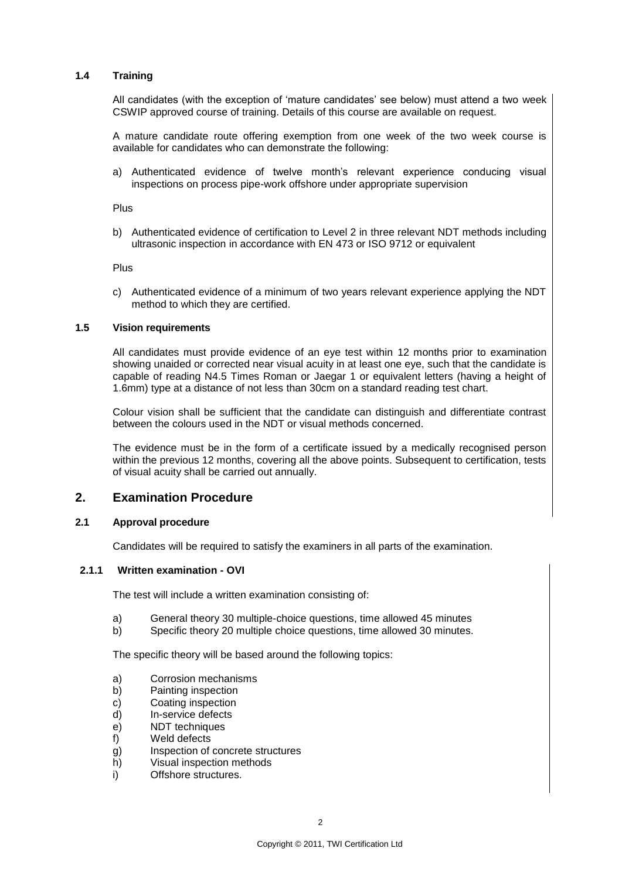### **1.4 Training**

All candidates (with the exception of 'mature candidates' see below) must attend a two week CSWIP approved course of training. Details of this course are available on request.

A mature candidate route offering exemption from one week of the two week course is available for candidates who can demonstrate the following:

a) Authenticated evidence of twelve month's relevant experience conducing visual inspections on process pipe-work offshore under appropriate supervision

Plus

b) Authenticated evidence of certification to Level 2 in three relevant NDT methods including ultrasonic inspection in accordance with EN 473 or ISO 9712 or equivalent

Plus

c) Authenticated evidence of a minimum of two years relevant experience applying the NDT method to which they are certified.

#### **1.5 Vision requirements**

All candidates must provide evidence of an eye test within 12 months prior to examination showing unaided or corrected near visual acuity in at least one eye, such that the candidate is capable of reading N4.5 Times Roman or Jaegar 1 or equivalent letters (having a height of 1.6mm) type at a distance of not less than 30cm on a standard reading test chart.

Colour vision shall be sufficient that the candidate can distinguish and differentiate contrast between the colours used in the NDT or visual methods concerned.

The evidence must be in the form of a certificate issued by a medically recognised person within the previous 12 months, covering all the above points. Subsequent to certification, tests of visual acuity shall be carried out annually.

# **2. Examination Procedure**

#### **2.1 Approval procedure**

Candidates will be required to satisfy the examiners in all parts of the examination.

#### **2.1.1 Written examination - OVI**

The test will include a written examination consisting of:

- a) General theory 30 multiple-choice questions, time allowed 45 minutes
- b) Specific theory 20 multiple choice questions, time allowed 30 minutes.

The specific theory will be based around the following topics:

- a) Corrosion mechanisms
- b) Painting inspection
- c) Coating inspection
- d) In-service defects
- e) NDT techniques
- f) Weld defects
- g) Inspection of concrete structures
- h) Visual inspection methods
- i) Offshore structures.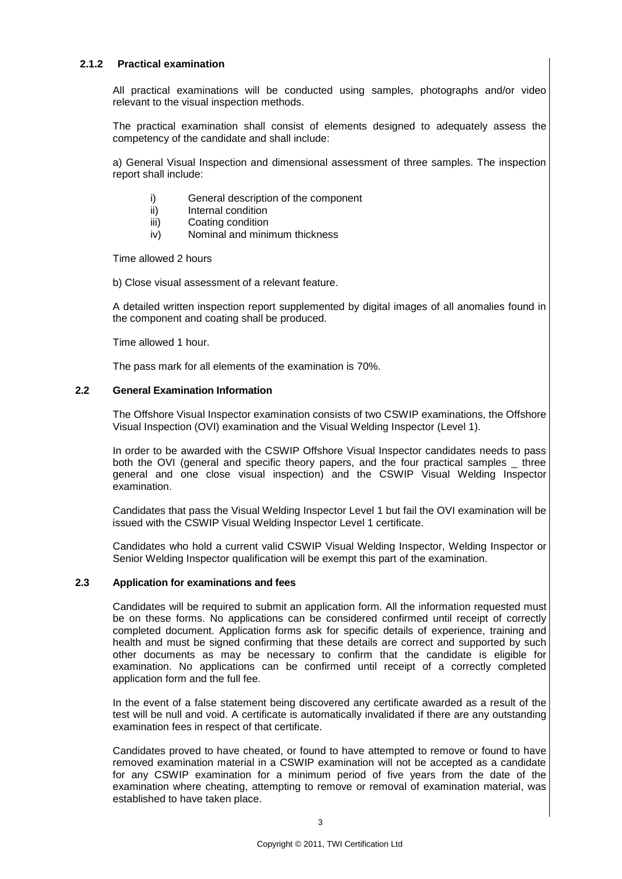#### **2.1.2 Practical examination**

All practical examinations will be conducted using samples, photographs and/or video relevant to the visual inspection methods.

The practical examination shall consist of elements designed to adequately assess the competency of the candidate and shall include:

a) General Visual Inspection and dimensional assessment of three samples. The inspection report shall include:

- i) General description of the component
- ii) Internal condition
- iii) Coating condition
- iv) Nominal and minimum thickness

Time allowed 2 hours

b) Close visual assessment of a relevant feature.

A detailed written inspection report supplemented by digital images of all anomalies found in the component and coating shall be produced.

Time allowed 1 hour.

The pass mark for all elements of the examination is 70%.

#### **2.2 General Examination Information**

The Offshore Visual Inspector examination consists of two CSWIP examinations, the Offshore Visual Inspection (OVI) examination and the Visual Welding Inspector (Level 1).

In order to be awarded with the CSWIP Offshore Visual Inspector candidates needs to pass both the OVI (general and specific theory papers, and the four practical samples \_ three general and one close visual inspection) and the CSWIP Visual Welding Inspector examination.

Candidates that pass the Visual Welding Inspector Level 1 but fail the OVI examination will be issued with the CSWIP Visual Welding Inspector Level 1 certificate.

Candidates who hold a current valid CSWIP Visual Welding Inspector, Welding Inspector or Senior Welding Inspector qualification will be exempt this part of the examination.

#### **2.3 Application for examinations and fees**

Candidates will be required to submit an application form. All the information requested must be on these forms. No applications can be considered confirmed until receipt of correctly completed document. Application forms ask for specific details of experience, training and health and must be signed confirming that these details are correct and supported by such other documents as may be necessary to confirm that the candidate is eligible for examination. No applications can be confirmed until receipt of a correctly completed application form and the full fee.

In the event of a false statement being discovered any certificate awarded as a result of the test will be null and void. A certificate is automatically invalidated if there are any outstanding examination fees in respect of that certificate.

Candidates proved to have cheated, or found to have attempted to remove or found to have removed examination material in a CSWIP examination will not be accepted as a candidate for any CSWIP examination for a minimum period of five years from the date of the examination where cheating, attempting to remove or removal of examination material, was established to have taken place.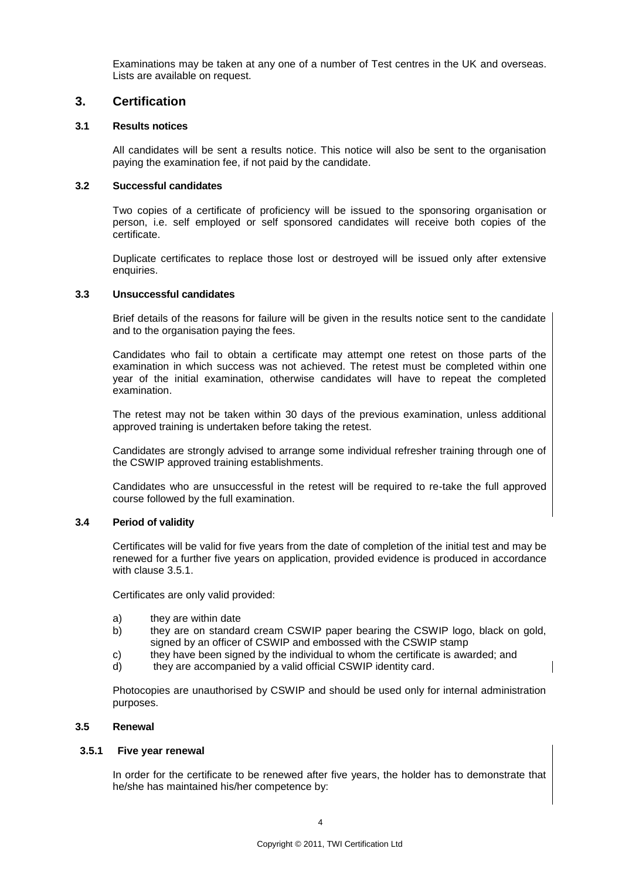Examinations may be taken at any one of a number of Test centres in the UK and overseas. Lists are available on request.

# **3. Certification**

#### **3.1 Results notices**

All candidates will be sent a results notice. This notice will also be sent to the organisation paying the examination fee, if not paid by the candidate.

#### **3.2 Successful candidates**

Two copies of a certificate of proficiency will be issued to the sponsoring organisation or person, i.e. self employed or self sponsored candidates will receive both copies of the certificate.

Duplicate certificates to replace those lost or destroyed will be issued only after extensive enquiries.

#### **3.3 Unsuccessful candidates**

Brief details of the reasons for failure will be given in the results notice sent to the candidate and to the organisation paying the fees.

Candidates who fail to obtain a certificate may attempt one retest on those parts of the examination in which success was not achieved. The retest must be completed within one year of the initial examination, otherwise candidates will have to repeat the completed examination.

The retest may not be taken within 30 days of the previous examination, unless additional approved training is undertaken before taking the retest.

Candidates are strongly advised to arrange some individual refresher training through one of the CSWIP approved training establishments.

Candidates who are unsuccessful in the retest will be required to re-take the full approved course followed by the full examination.

#### **3.4 Period of validity**

Certificates will be valid for five years from the date of completion of the initial test and may be renewed for a further five years on application, provided evidence is produced in accordance with clause 3.5.1.

Certificates are only valid provided:

- a) they are within date
- b) they are on standard cream CSWIP paper bearing the CSWIP logo, black on gold, signed by an officer of CSWIP and embossed with the CSWIP stamp
- c) they have been signed by the individual to whom the certificate is awarded; and
- d) they are accompanied by a valid official CSWIP identity card.

Photocopies are unauthorised by CSWIP and should be used only for internal administration purposes.

#### **3.5 Renewal**

#### **3.5.1 Five year renewal**

In order for the certificate to be renewed after five years, the holder has to demonstrate that he/she has maintained his/her competence by: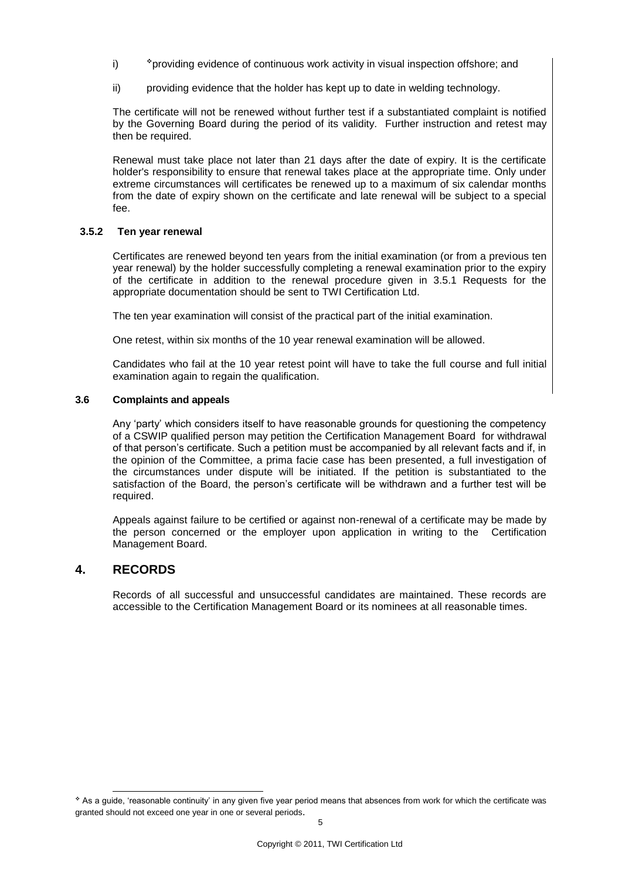- i) providing evidence of continuous work activity in visual inspection offshore; and
- ii) providing evidence that the holder has kept up to date in welding technology.

The certificate will not be renewed without further test if a substantiated complaint is notified by the Governing Board during the period of its validity. Further instruction and retest may then be required.

Renewal must take place not later than 21 days after the date of expiry. It is the certificate holder's responsibility to ensure that renewal takes place at the appropriate time. Only under extreme circumstances will certificates be renewed up to a maximum of six calendar months from the date of expiry shown on the certificate and late renewal will be subject to a special fee.

#### **3.5.2 Ten year renewal**

Certificates are renewed beyond ten years from the initial examination (or from a previous ten year renewal) by the holder successfully completing a renewal examination prior to the expiry of the certificate in addition to the renewal procedure given in 3.5.1 Requests for the appropriate documentation should be sent to TWI Certification Ltd.

The ten year examination will consist of the practical part of the initial examination.

One retest, within six months of the 10 year renewal examination will be allowed.

Candidates who fail at the 10 year retest point will have to take the full course and full initial examination again to regain the qualification.

#### **3.6 Complaints and appeals**

Any 'party' which considers itself to have reasonable grounds for questioning the competency of a CSWIP qualified person may petition the Certification Management Board for withdrawal of that person's certificate. Such a petition must be accompanied by all relevant facts and if, in the opinion of the Committee, a prima facie case has been presented, a full investigation of the circumstances under dispute will be initiated. If the petition is substantiated to the satisfaction of the Board, the person's certificate will be withdrawn and a further test will be required.

Appeals against failure to be certified or against non-renewal of a certificate may be made by the person concerned or the employer upon application in writing to the Certification Management Board.

# **4. RECORDS**

-

Records of all successful and unsuccessful candidates are maintained. These records are accessible to the Certification Management Board or its nominees at all reasonable times.

As a guide, 'reasonable continuity' in any given five year period means that absences from work for which the certificate was granted should not exceed one year in one or several periods.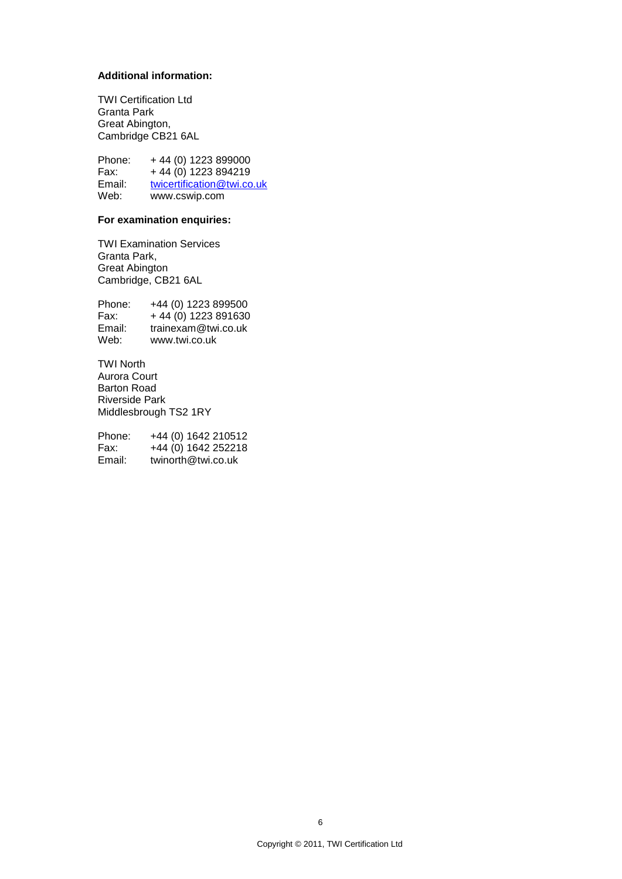# **Additional information:**

TWI Certification Ltd Granta Park Great Abington, Cambridge CB21 6AL

Phone: +44 (0) 1223 899000<br>Fax: +44 (0) 1223 894219  $+ 44 (0) 1223 894219$ Email: [twicertification@twi.co.uk](mailto:twicertification@twi.co.uk) Web: www.cswip.com

### **For examination enquiries:**

TWI Examination Services Granta Park, Great Abington Cambridge, CB21 6AL

Phone: +44 (0) 1223 899500<br>Fax: +44 (0) 1223 891630  $+ 44(0)$  1223 891630 Email: trainexam@twi.co.uk Web: www.twi.co.uk

TWI North Aurora Court Barton Road Riverside Park Middlesbrough TS2 1RY

| Phone: | +44 (0) 1642 210512 |
|--------|---------------------|
| Fax:   | +44 (0) 1642 252218 |
| Email: | twinorth@twi.co.uk  |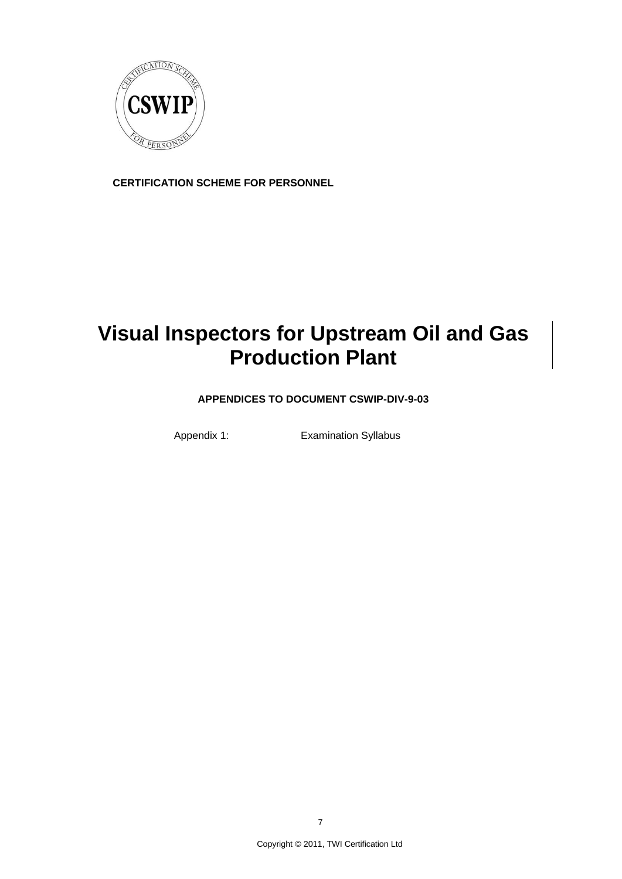

**CERTIFICATION SCHEME FOR PERSONNEL**

# **Visual Inspectors for Upstream Oil and Gas Production Plant**

**APPENDICES TO DOCUMENT CSWIP-DIV-9-03**

Appendix 1: Examination Syllabus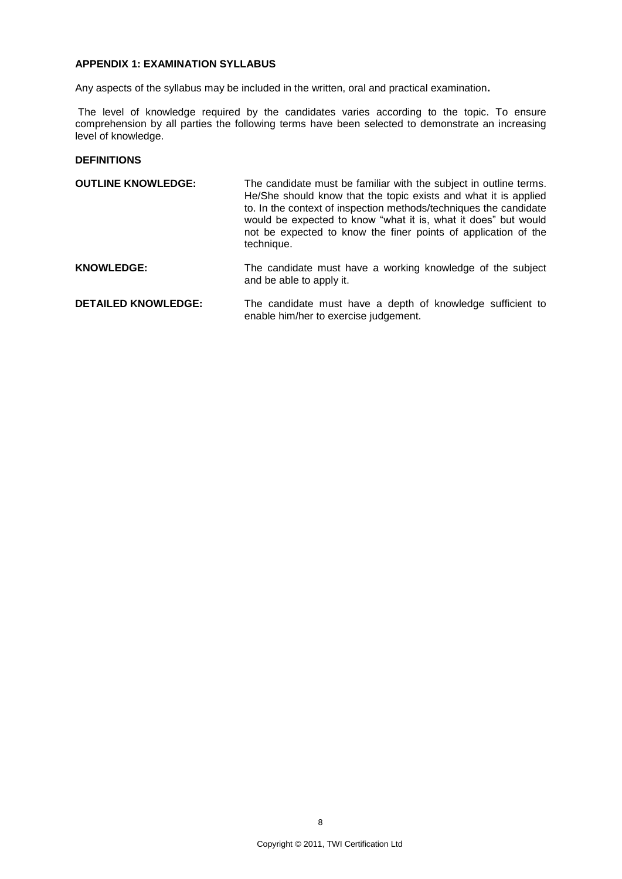# **APPENDIX 1: EXAMINATION SYLLABUS**

Any aspects of the syllabus may be included in the written, oral and practical examination**.**

The level of knowledge required by the candidates varies according to the topic. To ensure comprehension by all parties the following terms have been selected to demonstrate an increasing level of knowledge.

#### **DEFINITIONS**

- **OUTLINE KNOWLEDGE:** The candidate must be familiar with the subject in outline terms. He/She should know that the topic exists and what it is applied to. In the context of inspection methods/techniques the candidate would be expected to know "what it is, what it does" but would not be expected to know the finer points of application of the technique.
- KNOWLEDGE: The candidate must have a working knowledge of the subject and be able to apply it.
- **DETAILED KNOWLEDGE:** The candidate must have a depth of knowledge sufficient to enable him/her to exercise judgement.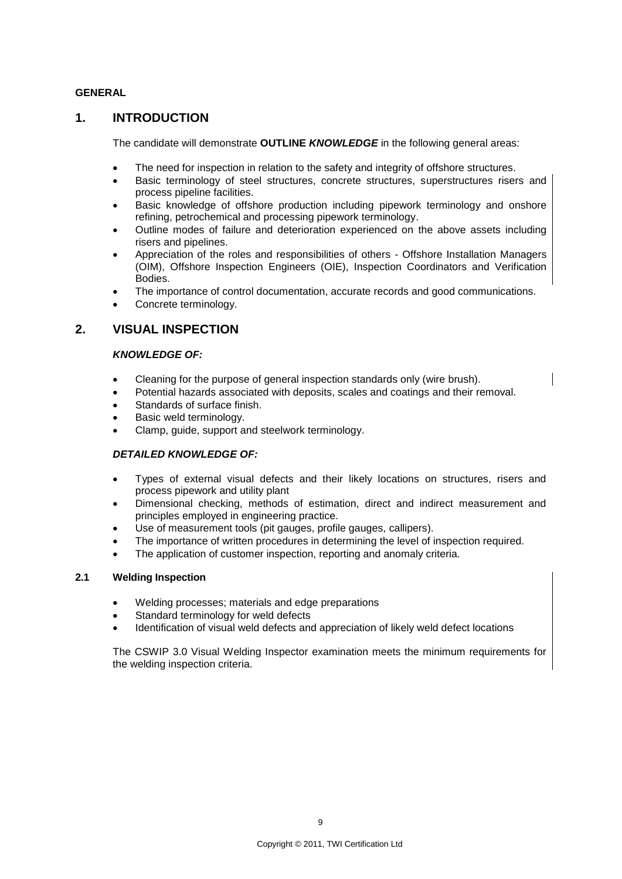### **GENERAL**

# **1. INTRODUCTION**

The candidate will demonstrate **OUTLINE** *KNOWLEDGE* in the following general areas:

- The need for inspection in relation to the safety and integrity of offshore structures.
- Basic terminology of steel structures, concrete structures, superstructures risers and process pipeline facilities.
- Basic knowledge of offshore production including pipework terminology and onshore refining, petrochemical and processing pipework terminology.
- Outline modes of failure and deterioration experienced on the above assets including risers and pipelines.
- Appreciation of the roles and responsibilities of others Offshore Installation Managers (OIM), Offshore Inspection Engineers (OIE), Inspection Coordinators and Verification Bodies.
- The importance of control documentation, accurate records and good communications.
- Concrete terminology.

# **2. VISUAL INSPECTION**

### *KNOWLEDGE OF:*

- Cleaning for the purpose of general inspection standards only (wire brush).
- Potential hazards associated with deposits, scales and coatings and their removal.
- Standards of surface finish.
- Basic weld terminology.
- Clamp, guide, support and steelwork terminology.

### *DETAILED KNOWLEDGE OF:*

- Types of external visual defects and their likely locations on structures, risers and process pipework and utility plant
- Dimensional checking, methods of estimation, direct and indirect measurement and principles employed in engineering practice.
- Use of measurement tools (pit gauges, profile gauges, callipers).
- The importance of written procedures in determining the level of inspection required.
- The application of customer inspection, reporting and anomaly criteria.

### **2.1 Welding Inspection**

- Welding processes; materials and edge preparations
- Standard terminology for weld defects
- Identification of visual weld defects and appreciation of likely weld defect locations

The CSWIP 3.0 Visual Welding Inspector examination meets the minimum requirements for the welding inspection criteria.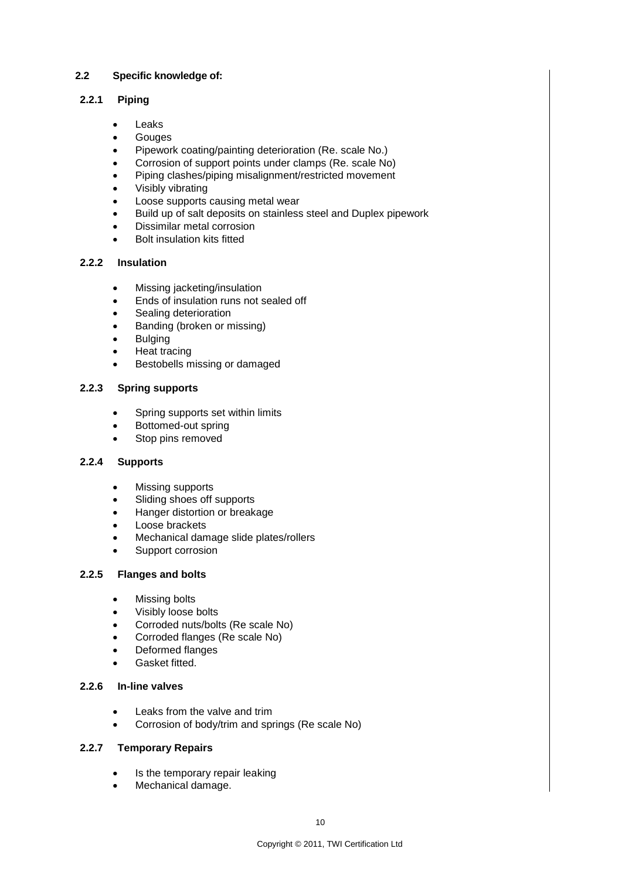# **2.2 Specific knowledge of:**

# **2.2.1 Piping**

- Leaks
- **Gouges**
- Pipework coating/painting deterioration (Re. scale No.)
- Corrosion of support points under clamps (Re. scale No)
- Piping clashes/piping misalignment/restricted movement
- Visibly vibrating
- Loose supports causing metal wear
- Build up of salt deposits on stainless steel and Duplex pipework
- Dissimilar metal corrosion
- Bolt insulation kits fitted

# **2.2.2 Insulation**

- Missing jacketing/insulation
- Ends of insulation runs not sealed off
- Sealing deterioration
- Banding (broken or missing)
- **•** Bulging
- Heat tracing
- Bestobells missing or damaged

# **2.2.3 Spring supports**

- Spring supports set within limits
- Bottomed-out spring
- Stop pins removed

# **2.2.4 Supports**

- Missing supports
- Sliding shoes off supports
- Hanger distortion or breakage
- Loose brackets
- Mechanical damage slide plates/rollers
- Support corrosion

### **2.2.5 Flanges and bolts**

- Missing bolts
- Visibly loose bolts
- Corroded nuts/bolts (Re scale No)
- Corroded flanges (Re scale No)
- Deformed flanges
- Gasket fitted.

# **2.2.6 In-line valves**

- Leaks from the valve and trim
- Corrosion of body/trim and springs (Re scale No)

# **2.2.7 Temporary Repairs**

- Is the temporary repair leaking
- Mechanical damage.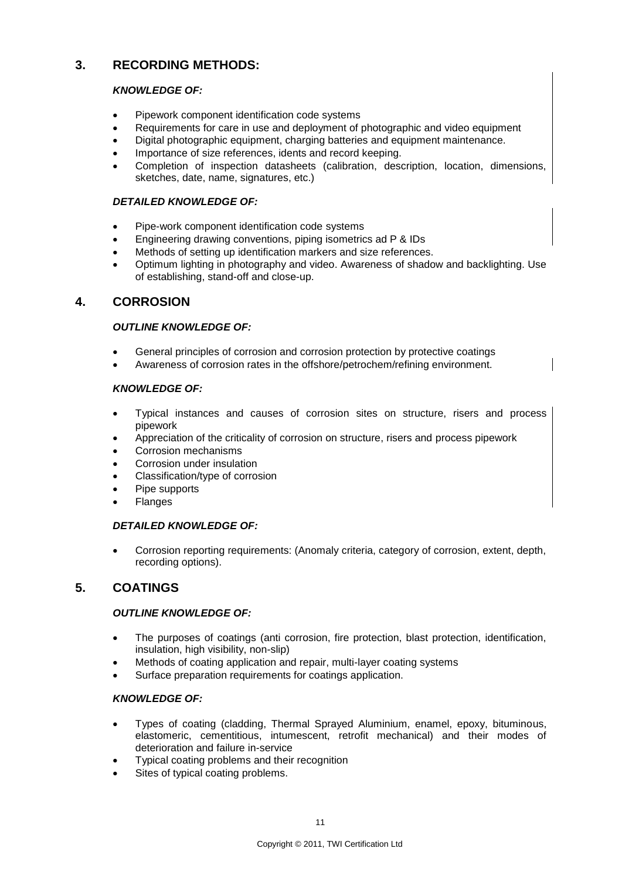# **3. RECORDING METHODS:**

# *KNOWLEDGE OF:*

- Pipework component identification code systems
- Requirements for care in use and deployment of photographic and video equipment
- Digital photographic equipment, charging batteries and equipment maintenance.
- Importance of size references, idents and record keeping.
- Completion of inspection datasheets (calibration, description, location, dimensions, sketches, date, name, signatures, etc.)

# *DETAILED KNOWLEDGE OF:*

- Pipe-work component identification code systems
- Engineering drawing conventions, piping isometrics ad P & IDs
- Methods of setting up identification markers and size references.
- Optimum lighting in photography and video. Awareness of shadow and backlighting. Use of establishing, stand-off and close-up.

# **4. CORROSION**

# *OUTLINE KNOWLEDGE OF:*

- General principles of corrosion and corrosion protection by protective coatings
- Awareness of corrosion rates in the offshore/petrochem/refining environment.

# *KNOWLEDGE OF:*

- Typical instances and causes of corrosion sites on structure, risers and process pipework
- Appreciation of the criticality of corrosion on structure, risers and process pipework
- Corrosion mechanisms
- Corrosion under insulation
- Classification/type of corrosion
- Pipe supports
- Flanges

### *DETAILED KNOWLEDGE OF:*

 Corrosion reporting requirements: (Anomaly criteria, category of corrosion, extent, depth, recording options).

# **5. COATINGS**

### *OUTLINE KNOWLEDGE OF:*

- The purposes of coatings (anti corrosion, fire protection, blast protection, identification, insulation, high visibility, non-slip)
- Methods of coating application and repair, multi-layer coating systems
- Surface preparation requirements for coatings application.

### *KNOWLEDGE OF:*

- Types of coating (cladding, Thermal Sprayed Aluminium, enamel, epoxy, bituminous, elastomeric, cementitious, intumescent, retrofit mechanical) and their modes of deterioration and failure in-service
- Typical coating problems and their recognition
- Sites of typical coating problems.